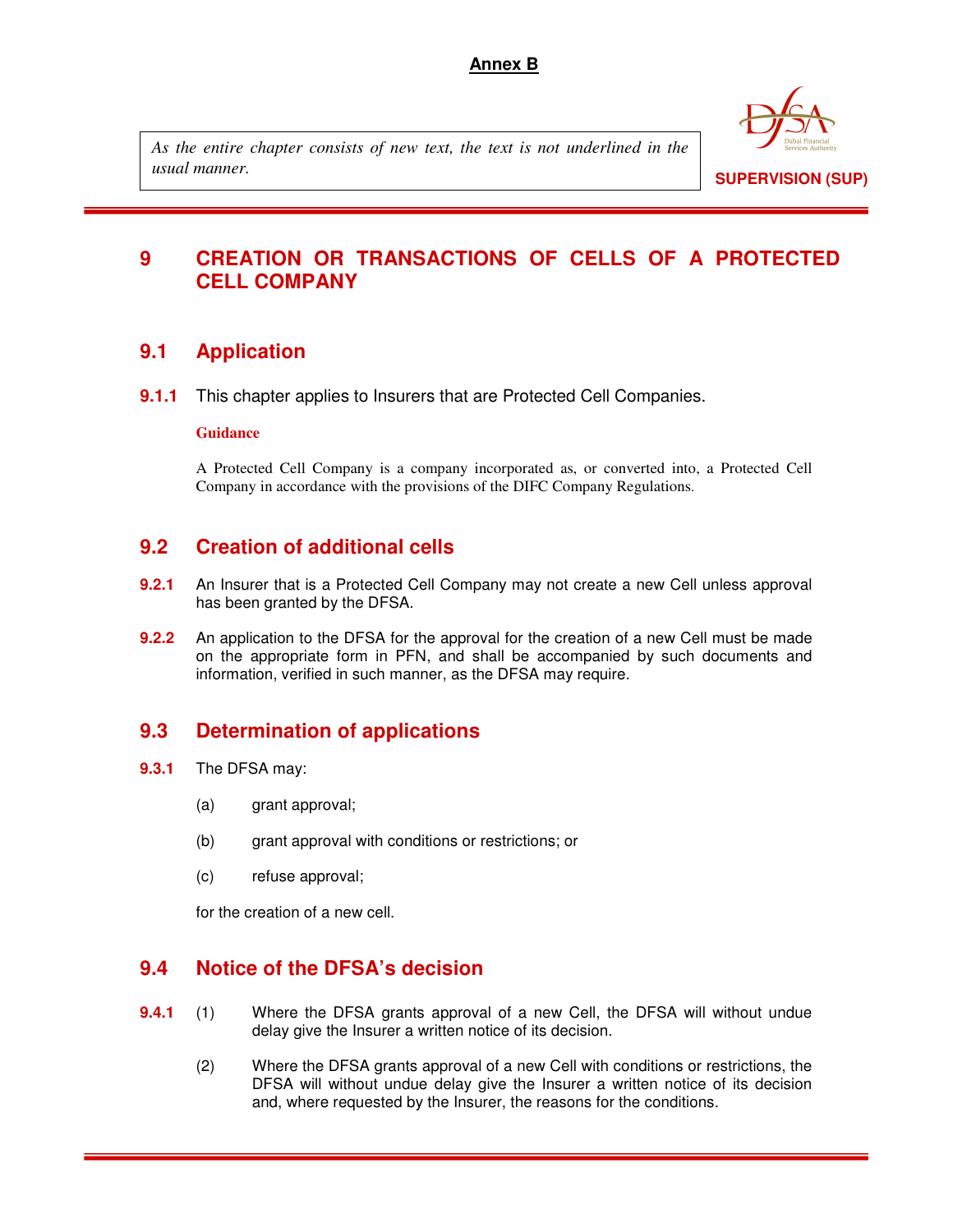### **Annex B**

*As the entire chapter consists of new text, the text is not underlined in the usual manner.* 



# **9 CREATION OR TRANSACTIONS OF CELLS OF A PROTECTED CELL COMPANY**

## **9.1 Application**

**9.1.1** This chapter applies to Insurers that are Protected Cell Companies.

### **Guidance**

A Protected Cell Company is a company incorporated as, or converted into, a Protected Cell Company in accordance with the provisions of the DIFC Company Regulations.

## **9.2 Creation of additional cells**

- **9.2.1** An Insurer that is a Protected Cell Company may not create a new Cell unless approval has been granted by the DFSA.
- **9.2.2** An application to the DFSA for the approval for the creation of a new Cell must be made on the appropriate form in PFN, and shall be accompanied by such documents and information, verified in such manner, as the DFSA may require.

# **9.3 Determination of applications**

- **9.3.1** The DFSA may:
	- (a) grant approval;
	- (b) grant approval with conditions or restrictions; or
	- (c) refuse approval;

for the creation of a new cell.

## **9.4 Notice of the DFSA's decision**

- **9.4.1** (1) Where the DFSA grants approval of a new Cell, the DFSA will without undue delay give the Insurer a written notice of its decision.
	- (2) Where the DFSA grants approval of a new Cell with conditions or restrictions, the DFSA will without undue delay give the Insurer a written notice of its decision and, where requested by the Insurer, the reasons for the conditions.